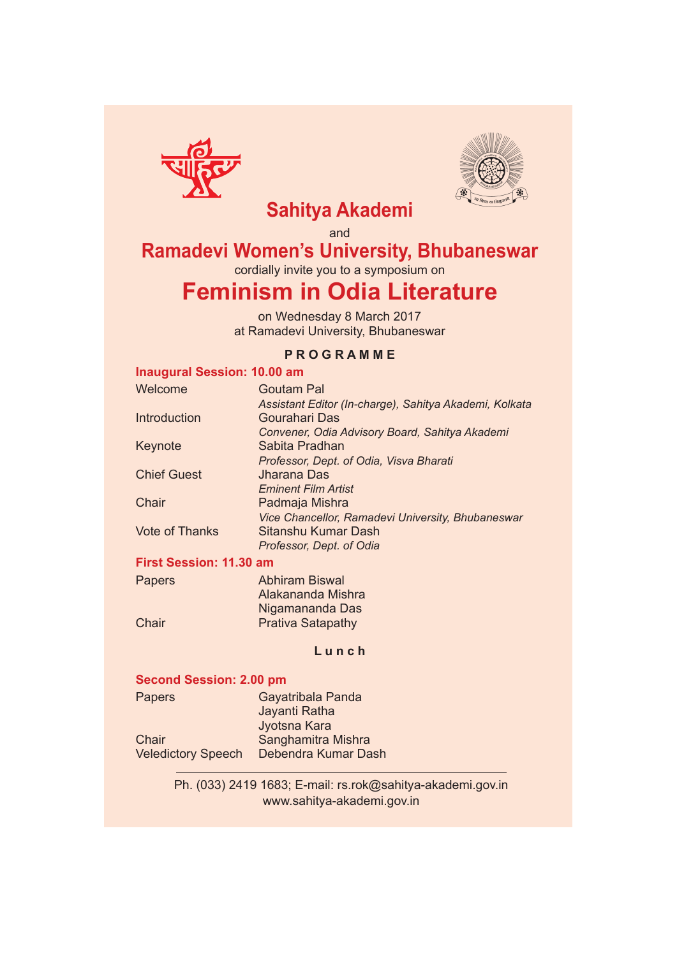



## **Sahitya Akademi**

and

### **Ramadevi Women's University, Bhubaneswar**

cordially invite you to a symposium on

# **Feminism in Odia Literature**

on Wednesday 8 March 2017 at Ramadevi University, Bhubaneswar

### **P R O G R A M M E**

### **Inaugural Session: 10.00 am**

| Welcome                 | <b>Goutam Pal</b>                                      |
|-------------------------|--------------------------------------------------------|
|                         | Assistant Editor (In-charge), Sahitya Akademi, Kolkata |
| Introduction            | <b>Gourahari Das</b>                                   |
|                         | Convener, Odia Advisory Board, Sahitya Akademi         |
| Keynote                 | Sabita Pradhan                                         |
|                         | Professor, Dept. of Odia, Visva Bharati                |
| <b>Chief Guest</b>      | <b>Jharana Das</b>                                     |
|                         | <b>Eminent Film Artist</b>                             |
| Chair                   | Padmaja Mishra                                         |
|                         | Vice Chancellor, Ramadevi University, Bhubaneswar      |
| <b>Vote of Thanks</b>   | Sitanshu Kumar Dash                                    |
|                         | Professor, Dept. of Odia                               |
| First Capalant 44,00 am |                                                        |

#### **First Session: 11.30 am**

| <b>Papers</b> | <b>Abhiram Biswal</b>    |
|---------------|--------------------------|
|               | Alakananda Mishra        |
|               | Nigamananda Das          |
| Chair         | <b>Prativa Satapathy</b> |

#### **L u n c h**

### **Second Session: 2.00 pm**

| Gayatribala Panda   |
|---------------------|
| Jayanti Ratha       |
| Jyotsna Kara        |
| Sanghamitra Mishra  |
| Debendra Kumar Dash |
|                     |

Ph. (033) 2419 1683; E-mail: rs.rok@sahitya-akademi.gov.in www.sahitya-akademi.gov.in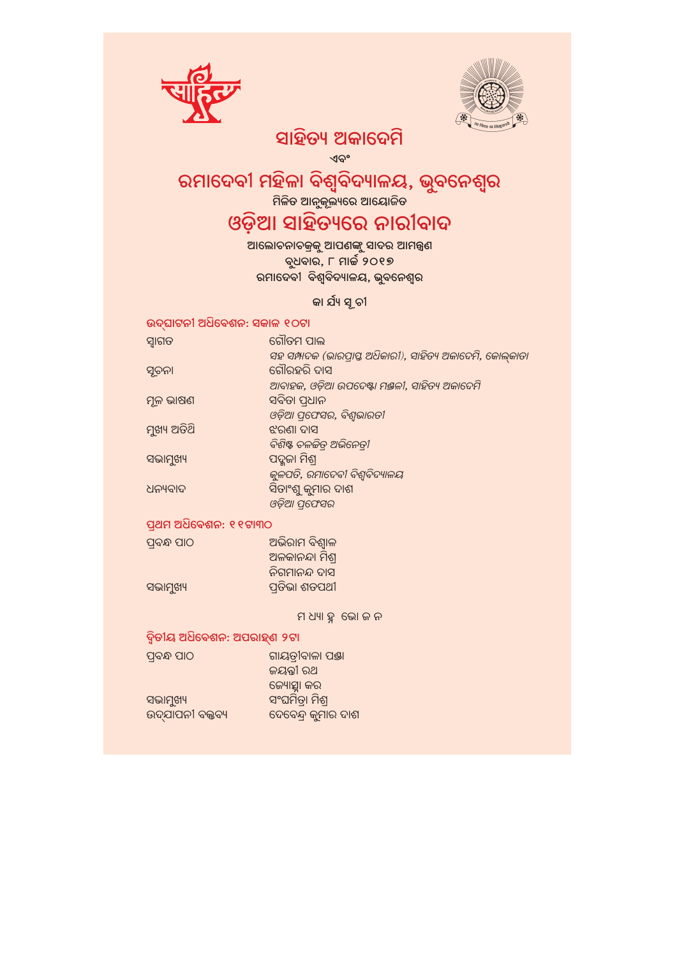



### ସାହିତ୍ୟ ଅକାଦେମି

ଏବଂ

# ରମାଦେବୀ ମହିଳା ବିଶ୍ୱବିଦ୍ୟାଳୟ, ଭୂବନେଶ୍ୱର

ିମଳିତ ଆନୁକୂଲ୍ୟରେ ଆୟୋଜିତ <mark>।</mark>

## ଓଡ଼ିଆ ସାହିତ୍ୟରେ ନାରୀବାଦ

ରମାଦେବୀ ବିଶ୍ୱବିଦ୍ୟାଳୟ, ଭୁବନେଶ୍ୱର

### କା ର୍ଯ୍ୟ ସୂଚୀ

### ଉଦ୍ଘାଟନୀ ଅଧିବେଶନ: ସକାଳ ୧୦ଟା

| ସ୍ୱାଗତ      | ଗୌତମ ପାଲ                                                   |
|-------------|------------------------------------------------------------|
|             | ସହ ସମ୍ପାଦକ (ଭାରପ୍ରାପ୍ତ ଅଧିକାରୀ), ସାହିତ୍ୟ ଅକାଦେମି, କୋଲ୍କାତା |
| ସୂଚନା       | ଗୌରହରି ଦାସ                                                 |
|             | ଆବାହକ, ଓଡ଼ିଆ ଉପଦେଷ୍ଟା ମଞ୍ଜଳୀ, ସାହିତ୍ୟ ଅକାଦେମି              |
| ମୂଳ ଭାଷଣ    | ସବିତା ପ୍ଧାନ                                                |
|             | ଓଡ଼ିଆ ପ୍ରପେସର, ବିଶ୍ୱଭାରତୀ                                  |
| ମୁଖ୍ୟ ଅତିଥି | ଝରଣା ଦାସ                                                   |
|             | ବିଶିଷ୍ଟ ଚଳଚ୍ଚିତ୍ ଅଭିନେତ୍ରୀ                                 |
| ସଭାମୁଖ୍ୟ    | ପଦ୍ମଜା ମିଶ୍ର                                               |
|             | କୁଳପତି, ରମାଦେବୀ ବିଶ୍ୱବିଦ୍ୟାଳୟ                              |
| ଧନ୍ୟବାଦ     | ସିତାଂଶୁ କୁମାର ଦାଶ                                          |
|             | ଓଡ଼ିଆ ପ୍ରେସସର                                              |
|             |                                                            |

#### ପ୍ରଥମ ଅଧିବେଶନ: ୧୧ଟା୩୦

| ପ୍ରବନ୍ଧ ପାଠ | ଅଭିରାମ ବିଶ୍ୱାଳ |
|-------------|----------------|
|             | ଅଳକାନନ୍ଦା ମିଶ୍ |
|             | ନିଗମାନନ୍ଦ ଦାସ  |
| ସଭାମୁଖ୍ୟ    | ପ୍ରତିଭା ଶତପଥୀ  |

ମ ଧ୍ୟା ହୁ ଭୋ ଜ ନ

### ଦ୍ୱିତୀୟ ଅଧିବେଶନ: ଅପରାହ୍ଣ ୨ଟା

| ପ୍ରବନ୍ଧ ପାଠ      | ଗାୟତୀବାଳା ପଞ୍ଜା     |
|------------------|---------------------|
|                  | ଜୟନ୍ତୀ ରଥ           |
|                  | ଚେ୍ୟୋତ୍ସ୍ଥା କର      |
| ସଭାମୁଖ୍ୟ         | ସଂଘମିତା ମିଶ୍ର       |
| ଉଦ୍ଯାପନୀ ବକ୍ତବ୍ୟ | ଦେବେନ୍ଦ୍ର କୁମାର ଦାଶ |